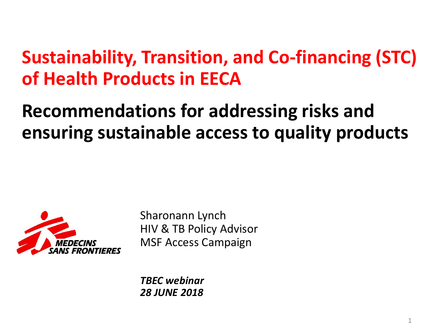### **Sustainability, Transition, and Co-financing (STC) of Health Products in EECA**

## **Recommendations for addressing risks and ensuring sustainable access to quality products**



Sharonann Lynch HIV & TB Policy Advisor MSF Access Campaign

*TBEC webinar 28 JUNE 2018*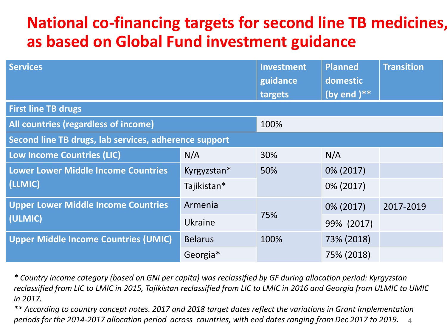### **National co-financing targets for second line TB medicines, as based on Global Fund investment guidance**

| <b>Services</b>                                       |                | Investment<br>guidance<br>targets | <b>Planned</b><br>domestic<br>(by end $)**$ | <b>Transition</b> |
|-------------------------------------------------------|----------------|-----------------------------------|---------------------------------------------|-------------------|
| <b>First line TB drugs</b>                            |                |                                   |                                             |                   |
| All countries (regardless of income)                  |                | 100%                              |                                             |                   |
| Second line TB drugs, lab services, adherence support |                |                                   |                                             |                   |
| <b>Low Income Countries (LIC)</b>                     | N/A            | 30%                               | N/A                                         |                   |
| <b>Lower Lower Middle Income Countries</b><br>(LLMIC) | Kyrgyzstan*    | 50%                               | 0% (2017)                                   |                   |
|                                                       | Tajikistan*    |                                   | 0% (2017)                                   |                   |
| <b>Upper Lower Middle Income Countries</b><br>(ULMIC) | Armenia        | 75%                               | 0% (2017)                                   | 2017-2019         |
|                                                       | Ukraine        |                                   | 99% (2017)                                  |                   |
| <b>Upper Middle Income Countries (UMIC)</b>           | <b>Belarus</b> | 100%                              | 73% (2018)                                  |                   |
|                                                       | Georgia*       |                                   | 75% (2018)                                  |                   |

*\* Country income category (based on GNI per capita) was reclassified by GF during allocation period: Kyrgyzstan reclassified from LIC to LMIC in 2015, Tajikistan reclassified from LIC to LMIC in 2016 and Georgia from ULMIC to UMIC in 2017.*

4 *\*\* According to country concept notes. 2017 and 2018 target dates reflect the variations in Grant implementation periods for the 2014-2017 allocation period across countries, with end dates ranging from Dec 2017 to 2019.*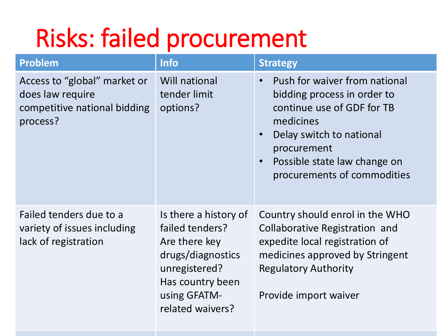# Risks: failed procurement

| <b>Problem</b>                                                                               | <b>Info</b>                                                                                                                                             | <b>Strategy</b>                                                                                                                                                                                                                                          |
|----------------------------------------------------------------------------------------------|---------------------------------------------------------------------------------------------------------------------------------------------------------|----------------------------------------------------------------------------------------------------------------------------------------------------------------------------------------------------------------------------------------------------------|
| Access to "global" market or<br>does law require<br>competitive national bidding<br>process? | <b>Will national</b><br>tender limit<br>options?                                                                                                        | Push for waiver from national<br>$\bullet$<br>bidding process in order to<br>continue use of GDF for TB<br>medicines<br>Delay switch to national<br>$\bullet$<br>procurement<br>Possible state law change on<br>$\bullet$<br>procurements of commodities |
| Failed tenders due to a<br>variety of issues including<br>lack of registration               | Is there a history of<br>failed tenders?<br>Are there key<br>drugs/diagnostics<br>unregistered?<br>Has country been<br>using GFATM-<br>related waivers? | Country should enrol in the WHO<br>Collaborative Registration and<br>expedite local registration of<br>medicines approved by Stringent<br><b>Regulatory Authority</b><br>Provide import waiver                                                           |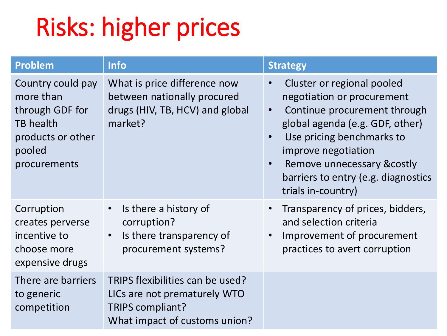# Risks: higher prices

| <b>Problem</b>                                                                                                       | <b>Info</b>                                                                                                           | <b>Strategy</b>                                                                                                                                                                                                                                                                                                    |
|----------------------------------------------------------------------------------------------------------------------|-----------------------------------------------------------------------------------------------------------------------|--------------------------------------------------------------------------------------------------------------------------------------------------------------------------------------------------------------------------------------------------------------------------------------------------------------------|
| Country could pay<br>more than<br>through GDF for<br><b>TB</b> health<br>products or other<br>pooled<br>procurements | What is price difference now<br>between nationally procured<br>drugs (HIV, TB, HCV) and global<br>market?             | Cluster or regional pooled<br>$\bullet$<br>negotiation or procurement<br>Continue procurement through<br>$\bullet$<br>global agenda (e.g. GDF, other)<br>Use pricing benchmarks to<br>improve negotiation<br>Remove unnecessary & costly<br>$\bullet$<br>barriers to entry (e.g. diagnostics<br>trials in-country) |
| Corruption<br>creates perverse<br>incentive to<br>choose more<br>expensive drugs                                     | Is there a history of<br>$\bullet$<br>corruption?<br>Is there transparency of<br>$\bullet$<br>procurement systems?    | Transparency of prices, bidders,<br>$\bullet$<br>and selection criteria<br>Improvement of procurement<br>$\bullet$<br>practices to avert corruption                                                                                                                                                                |
| There are barriers<br>to generic<br>competition                                                                      | TRIPS flexibilities can be used?<br>LICs are not prematurely WTO<br>TRIPS compliant?<br>What impact of customs union? |                                                                                                                                                                                                                                                                                                                    |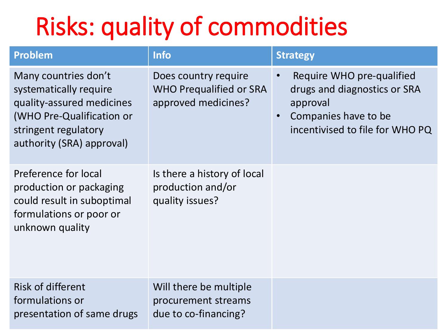# Risks: quality of commodities

| <b>Problem</b>                                                                                                                                                | <b>Info</b>                                                                   | <b>Strategy</b>                                                                                                                  |
|---------------------------------------------------------------------------------------------------------------------------------------------------------------|-------------------------------------------------------------------------------|----------------------------------------------------------------------------------------------------------------------------------|
| Many countries don't<br>systematically require<br>quality-assured medicines<br>(WHO Pre-Qualification or<br>stringent regulatory<br>authority (SRA) approval) | Does country require<br><b>WHO Prequalified or SRA</b><br>approved medicines? | Require WHO pre-qualified<br>drugs and diagnostics or SRA<br>approval<br>Companies have to be<br>incentivised to file for WHO PQ |
| Preference for local<br>production or packaging<br>could result in suboptimal<br>formulations or poor or<br>unknown quality                                   | Is there a history of local<br>production and/or<br>quality issues?           |                                                                                                                                  |
| <b>Risk of different</b><br>formulations or<br>presentation of same drugs                                                                                     | Will there be multiple<br>procurement streams<br>due to co-financing?         |                                                                                                                                  |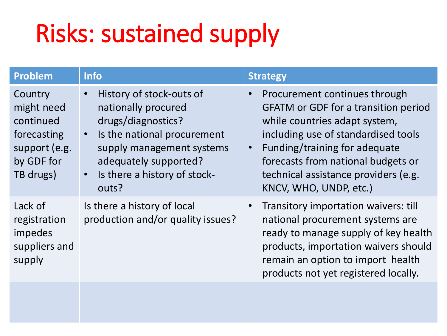# Risks: sustained supply

| Problem                                                                                       | <b>Info</b>                                                                                                                                                                                                                                | <b>Strategy</b>                                                                                                                                                                                                                                                                                            |
|-----------------------------------------------------------------------------------------------|--------------------------------------------------------------------------------------------------------------------------------------------------------------------------------------------------------------------------------------------|------------------------------------------------------------------------------------------------------------------------------------------------------------------------------------------------------------------------------------------------------------------------------------------------------------|
| Country<br>might need<br>continued<br>forecasting<br>support (e.g.<br>by GDF for<br>TB drugs) | History of stock-outs of<br>$\bullet$<br>nationally procured<br>drugs/diagnostics?<br>Is the national procurement<br>$\bullet$<br>supply management systems<br>adequately supported?<br>Is there a history of stock-<br>$\bullet$<br>outs? | Procurement continues through<br><b>GFATM or GDF for a transition period</b><br>while countries adapt system,<br>including use of standardised tools<br>Funding/training for adequate<br>$\bullet$<br>forecasts from national budgets or<br>technical assistance providers (e.g.<br>KNCV, WHO, UNDP, etc.) |
| Lack of<br>registration<br>impedes<br>suppliers and<br>supply                                 | Is there a history of local<br>production and/or quality issues?                                                                                                                                                                           | Transitory importation waivers: till<br>national procurement systems are<br>ready to manage supply of key health<br>products, importation waivers should<br>remain an option to import health<br>products not yet registered locally.                                                                      |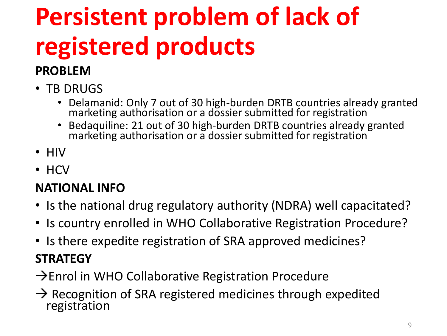# **Persistent problem of lack of registered products**

### **PROBLEM**

- TB DRUGS
	- Delamanid: Only 7 out of 30 high-burden DRTB countries already granted marketing authorisation or a dossier submitted for registration
	- Bedaquiline: 21 out of 30 high-burden DRTB countries already granted marketing authorisation or a dossier submitted for registration
- HIV
- HCV

### **NATIONAL INFO**

- Is the national drug regulatory authority (NDRA) well capacitated?
- Is country enrolled in WHO Collaborative Registration Procedure?
- Is there expedite registration of SRA approved medicines?

### **STRATEGY**

- $\rightarrow$  Enrol in WHO Collaborative Registration Procedure
- $\rightarrow$  Recognition of SRA registered medicines through expedited registration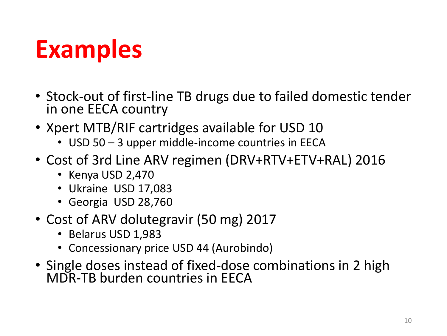## **Examples**

- Stock-out of first-line TB drugs due to failed domestic tender in one EECA country
- Xpert MTB/RIF cartridges available for USD 10
	- USD 50 3 upper middle-income countries in EECA
- Cost of 3rd Line ARV regimen (DRV+RTV+ETV+RAL) 2016
	- Kenya USD 2,470
	- Ukraine USD 17,083
	- Georgia USD 28,760
- Cost of ARV dolutegravir (50 mg) 2017
	- Belarus USD 1,983
	- Concessionary price USD 44 (Aurobindo)
- Single doses instead of fixed-dose combinations in 2 high MDR-TB burden countries in EECA